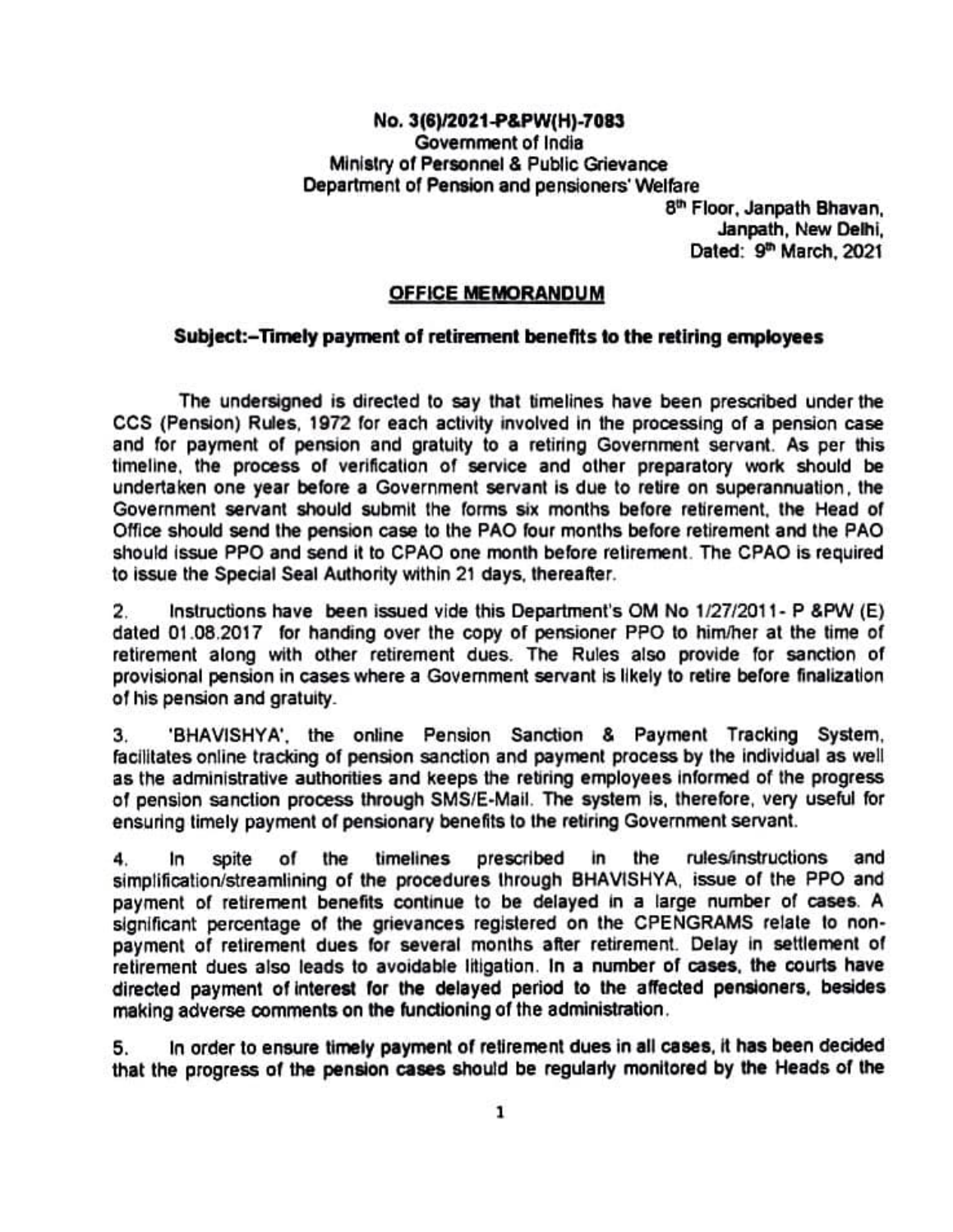## No. 3(6)/2021-P&PWH)-7083 GOvemment of India Ministry of Personnel & Public Grievance Department of Pension and pensioners' Welfare<br>8<sup>th</sup> Floor, Janpath Bhavan,

Janpath, New Delhi, Dated: 9<sup>th</sup> March, 2021

## OFFICE MEMORANDUM

## Subject:-Timely payment of retirement bene fits to the retiring employees

The undersigned is directed to say that timelines have been prescribed under the CCS (Pension) Rules, 1972 for each activity involved in the processing of a pension case CCS (Pension) Rules, 1972 for each activity involved in the processing of a pension case and tor Payment of pension and gratuity to a retirning Government servant. As per this timeline, the process of verifcation of service and other preparatory work should be undertaken one year before a Government servant is due to retre on superannuation, the Government servant should submit the forms six months before retirement, the Head of Office should send the pension case to the PAO Tour months before retirement and the PAO should issue PPO and send it to CPAO one month before relirement. The CPAO is required to issue the Special Seal Authority within 21 days, thereafter

2. Instructions have been issued vide this Department's OM No 1/27/2011- P &PW (E) dated 01.08.2017 for handing over the copy of pensioner PPO to him/her at the time of retirement along with other retirement dues. The Rules also provide for sanction of provisional pension in cases where a Govemment servant is likely to retire before finalization of his pension and gratuity.

BHAVISHYA', the online Pension Sanction & Payment Tracking System, З. facilitates onine tracking of pension sanction and payment process by the individual as well as the administrative authorities and keeps the retiring employees informed of the progress of pension sanction process through SMS/E-Mail. The system is, therefore, very useful for ensuring timely payment of pensionary benefits to the retiring Government servant.

4. In spite of the timelines prescribed in the rules/instructions and simplification/streamlining of the procedures through BHAVISHYA, issue of the PPO and payment of retirement benefits continue to be delayed in a large number of cases. A significant percentage of the grievances registered on the CPENGRAMS relate to nonpayment of retirement dues for several months ater retirement. Delay in settlement of retirement dues also leads to avoidable litigation. In a number of cases, the courts have directed payment of interest for the delayed period to the affected pensioners, besides making adverse comments on the functioning of the administration.

5. In order to ensure timely payment of retirement dues in all cases, it has been decided that the progress of the pension cases should be regularly monitored by the Heads of the